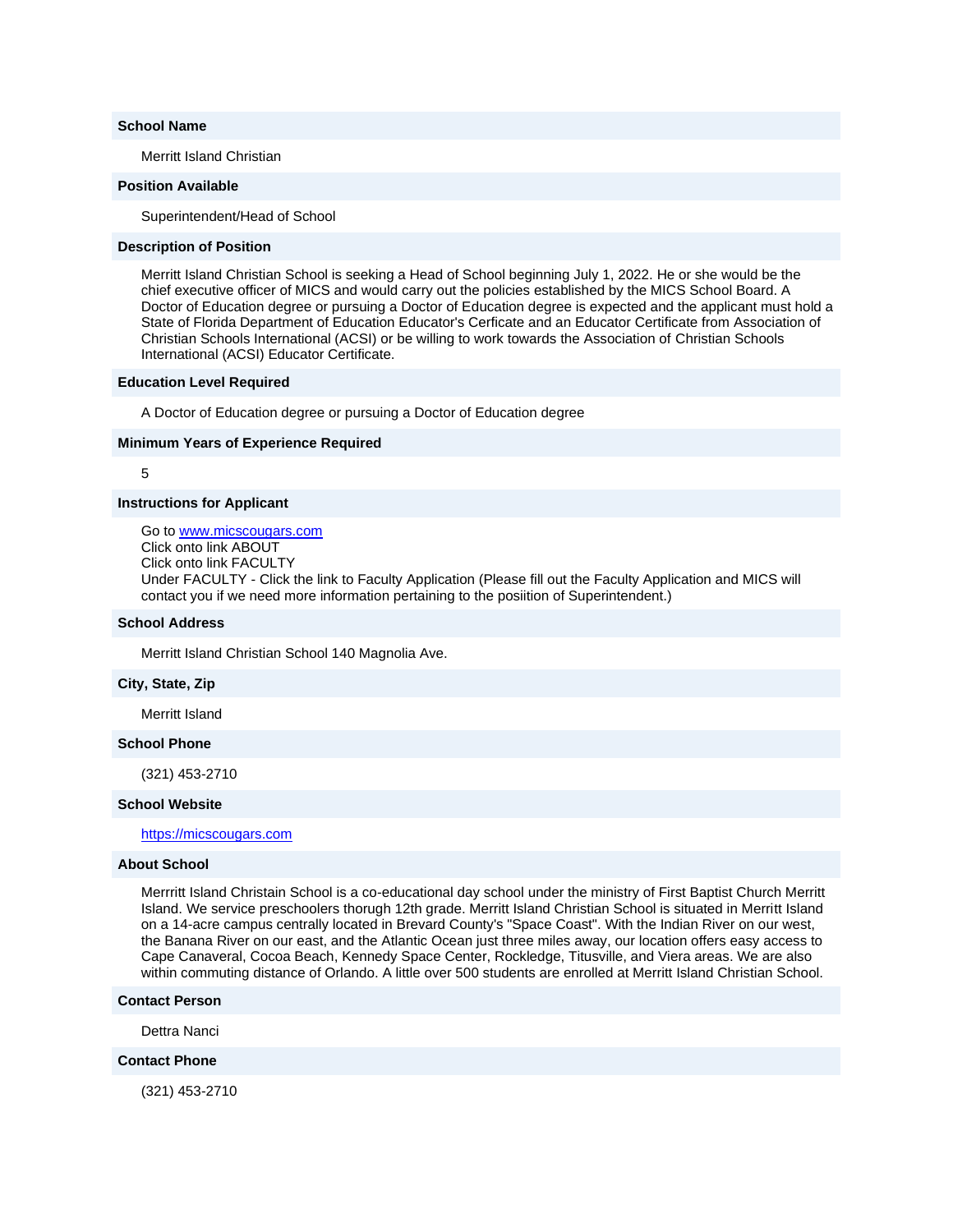#### **School Name**

Merritt Island Christian

## **Position Available**

Superintendent/Head of School

#### **Description of Position**

Merritt Island Christian School is seeking a Head of School beginning July 1, 2022. He or she would be the chief executive officer of MICS and would carry out the policies established by the MICS School Board. A Doctor of Education degree or pursuing a Doctor of Education degree is expected and the applicant must hold a State of Florida Department of Education Educator's Cerficate and an Educator Certificate from Association of Christian Schools International (ACSI) or be willing to work towards the Association of Christian Schools International (ACSI) Educator Certificate.

## **Education Level Required**

A Doctor of Education degree or pursuing a Doctor of Education degree

#### **Minimum Years of Experience Required**

## 5

#### **Instructions for Applicant**

Go to [www.micscougars.com](http://www.micscougars.com/) Click onto link ABOUT Click onto link FACULTY Under FACULTY - Click the link to Faculty Application (Please fill out the Faculty Application and MICS will contact you if we need more information pertaining to the posiition of Superintendent.)

#### **School Address**

Merritt Island Christian School 140 Magnolia Ave.

#### **City, State, Zip**

Merritt Island

#### **School Phone**

(321) 453-2710

#### **School Website**

[https://micscougars.com](http://email.nacschools-org.nsmail1.com/c/eJxVzUEOgyAQRuHT6K7kZ4ApLFh003vQUZREpQF7_5rumrz196ZoAxuZxxIJRLDktXcEVi_mzJObgbvQ5PVgcSTpsta69Vttizr6nsqmldR9XGMWgXUg5BA4GfgsbmatNeADDMYtruf57oN5DPS82sul1c-SWv8RLZYj17-NujZfthsxKw)

# **About School**

Merrritt Island Christain School is a co-educational day school under the ministry of First Baptist Church Merritt Island. We service preschoolers thorugh 12th grade. Merritt Island Christian School is situated in Merritt Island on a 14-acre campus centrally located in Brevard County's "Space Coast". With the Indian River on our west, the Banana River on our east, and the Atlantic Ocean just three miles away, our location offers easy access to Cape Canaveral, Cocoa Beach, Kennedy Space Center, Rockledge, Titusville, and Viera areas. We are also within commuting distance of Orlando. A little over 500 students are enrolled at Merritt Island Christian School.

#### **Contact Person**

Dettra Nanci

# **Contact Phone**

(321) 453-2710